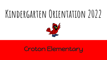# **Kindergarten Orientation 2022**



## Croton Elementary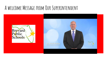## **A welcome Message from Our Superintendent**

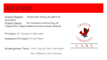## **About our School**

Croton Mission: Empower every student to succeed. Croton Vision: An inclusive community of respectful, responsible and educated citizens.

Principal : Dr. Roseann Bennett

Assistant Principal: Nicole Pepin

Kindergarten Team: Mrs. Dacus, Mrs. Harrigan

Mrs. Williams, Mrs. Ramos

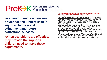# **PreK-K** Kindergarten

•**A smooth transition between preschool and kindergarten is key to a child's social adjustment and future educational success**.

•**When transitions are effective, they provide the supports children need to make these adjustments.** 

Developmental areas to make the transition into kindergarten as smooth as possible.

•*Social/Emotional Development* : Encourage your child to persist in tasks when encountering<br>a problem. When your child cannot find a<br>solution on his own, encourage him to calmly<br>ask for help.

**• Language Development** : Verbally give your<br>child specific one-step and two-step directions<br>and encourage him to follow through.

•*Cognitive Development* : Have your child help you sort items according to color, size, and shape

•*Physical Development (Gross & Fine Motor)*<br>: Give your child plenty of opportunities for<br>outdoor play: running, jumping, and climbing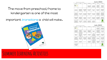**June 2022** Tips for fun summer activities! Sunday Monday Tuesday Wednesday Saturday Brevard<br>Public<br>Schools Look at a calenda Visit your publi about the make a choice and help your child<br>count the days until<br>whool starts. importance of<br>sharing. This is an<br>essential doll in library. Find out<br>about their summe today, Naking<br>choices builds<br>Independence reading program Encourage your<br>young artist, Provide<br>crayons, paint and<br>paper and allow<br>time to explore. Ask your child Say "please" and<br>"thank you" often<br>Your child will too Ask your child to Take a visit outsid pick up toys at the<br>end of play. Thank<br>your child for<br>helping. our child and c you a story. Write it<br>down and read it<br>back. and count as many a local library or<br>bookstore. the number of animals as you can<br>find. lead-aloud tip: F<br>a picture book trevard County n<br>T2 miles of beach<br>Visit the beach Reve your child ractice taking tu or her name. practice saying his<br>or her first and last your house and fit to wash his or her<br>hands all by him- of<br>herself. without words a by playing a game<br>with your child. Write his or he ask your child to te as many different collect shells, and<br>help your child sort<br>them at home. name in highligh nane. shapes as possible and let your child Aut he or the se  $\begin{array}{l} \text{Table 1: } \text{par child} \\ \text{about the far thing} \\ \text{row did when you user in} \\ \text{where in} \\ \text{kinderpattern}. \end{array}$  $\begin{array}{c} \text{Lintering in us} \\ \text{important in school.} \\ \text{Practice by playing} \\ \text{Given } \text{Seyn with} \\ \text{your child.} \end{array}$  $\begin{array}{l} \mbox{An you do lamery,}\\ \mbox{have year child help}\\ \mbox{you sort and court.}\\ \mbox{Sort by color, view, object etc.} \end{array}$ Take time to pla<br>outside. Practic fut on some my with your child.<br>Help them find and dance with your<br>child. throwing and ort out of blank<br>and sheets. catching a ball rhuming words. lead-aloud tip  $\sim$ Take a walk cutsid Take a look at a When the sun ha Did you know the to reading the boot<br>to your child, have and point out living<br>and non-living<br>things. set, step outside<br>and count as man<br>stars as you can. **Brevard County N** map, Have your<br>thild point out the<br>things they see. 108 parks? Visit on near your house

| Sunday                                                                                                                                         | Monday                                                                                                                                                                                 | Tuesday                                                                                                             | Wednesday                                                                                                             | Thursday                                                                                                                                          | Friday                                                                                                                                           | Saturday                                                                                                                   |
|------------------------------------------------------------------------------------------------------------------------------------------------|----------------------------------------------------------------------------------------------------------------------------------------------------------------------------------------|---------------------------------------------------------------------------------------------------------------------|-----------------------------------------------------------------------------------------------------------------------|---------------------------------------------------------------------------------------------------------------------------------------------------|--------------------------------------------------------------------------------------------------------------------------------------------------|----------------------------------------------------------------------------------------------------------------------------|
| <b>Bervard</b><br>Public<br>Schools.                                                                                                           |                                                                                                                                                                                        |                                                                                                                     |                                                                                                                       |                                                                                                                                                   | At stock time, have<br>year child court his or<br>her snack cytor to<br>eative it.                                                               | Take a trip to the<br>multike library and have<br>your child pick out his<br>or her own beek.                              |
| π<br>At you are driving.<br>have your child point<br>out letters and<br>numbers that they see<br>on signs and license<br>plates.               | $\overline{a}$<br><b>Happy Fourth of</b><br>July1 Talk to your<br>child about<br>Independence and<br>why we celebrate<br>this special day.                                             | τ<br>Practice having your<br>child say his or her<br>nana, and styre.<br>runder.                                    | s<br>the safety sciences and<br>cid roarazines to help<br>your child make a<br>collage of things they<br>low to do.   | 7<br>Encourage your child<br>for direct from, our<br>hemett.                                                                                      | x<br>Practice taking turns<br>by playing a game with.<br>your child, if your<br>child loses, use this<br>time to talk about not<br>MAINS WICKING | Time yourself, See<br>how many things<br>you can do in one<br>infrute.                                                     |
| $\overline{10}$<br>Hopping Day! Try<br>hopenster's ar<br>turreine roew.                                                                        | $\overline{\mathbf{1}}$<br>Help your child<br>measure how tall he<br>or she is., Let them<br>help you measure<br>how tall you are.<br>Talk about how your<br>heights are<br>different. | $\overline{12}$<br>Let your child help.<br>you set the table for<br>disser.                                         | $\overline{11}$<br><b>Practice taking</b><br>turns by playing Tic-<br>Tar-Toe.                                        | $\overline{14}$<br>Sing Head.<br><b>Shadders, Kopes</b><br>and Torri with your<br>child. Help them<br>point to each body<br>port as they sing.    | $\overline{15}$<br>Give your child<br>sidewalk chalk and<br>have them draw a<br>picture.                                                         | $\overline{16}$<br>Choose a plece of<br>recycling and help<br>your child make an<br>intrument.                             |
| $\overline{17}$<br>Paint with ice.<br>Hale colored ice<br>culters with food<br>coloring. Allow you<br>child to paint with<br>the ice on paper. | $\overline{\mathbf{10}}$<br>Look for the first<br>letter in your name<br><b>Index, See Istur</b><br>many filmes you can.<br>First In.                                                  | $\overline{15}$<br>Practice your school.<br>marring routine.<br>Continue this each<br>day to prepare for<br>school. | ক্ষ<br>Read aloud tip: Prior<br>to reading the book.<br>help your child point<br>out the cover, title:<br>ind adjust. | $\overline{21}$<br>It is alreast time for<br>school! Take time to<br>drive past your<br>child's new school to<br>show them where<br>they will go. | $\overline{22}$<br>Name the colors of<br>fruits while grocery<br>shoppling.                                                                      | $\overline{21}$<br>Let your child help.<br>you prepare a meal.<br>Have your child help<br>measure, stir and<br>set timers. |
| 24<br>Visit a new park<br>today and look for<br>things in pairs.                                                                               | 25<br>Practice using<br>buttors, zippers and<br>tying shoelaces.                                                                                                                       | 26<br>Sing the ABC song.                                                                                            | 22<br>School is closed<br>Draw a picture of<br>your family to show<br>your teacher.                                   | 28<br>During both time let<br>way child use<br>different vice plastic<br>containers to<br>measure suday. Talk<br>about more and<br>lass.          | 29<br>Talk shout what you<br>are most excited.<br>about doing in<br>kindergarten.                                                                | 30<br>Kindergarten is<br>around the corner.<br><b>Practice your</b><br>morning apodbye<br>rocking.                         |
| 31<br>Talk about<br>friendship, Ask your<br>child. What makes<br>a friend a pood<br>friend?"                                                   |                                                                                                                                                                                        |                                                                                                                     |                                                                                                                       |                                                                                                                                                   |                                                                                                                                                  | THROVE AN                                                                                                                  |

### The move from preschool/home to kindergarten is one of the most

important *transitions* a child will make.



## **Summer Learning Activities**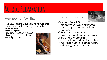## **School Preparation**

### Personal Skills:

The BEST thing you can do for us this summer is make sure your child is independent in:

- toileting skills
- zipping, buttoning, etc.,
- tying shoes (or do Velcro
- using scissors



### Writing Skills:



•Correct Pencil Grip •Able to write his/her name using a capital letter only at the beginning. •D'Nealian Handwriting •Understands that letters and print carry meaning •Practice basic letter formation •Fine Motor Skills (paintbrush, chalk, play dough, etc.)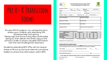

Private VPK Providers= You will see this form where your children are attending VPK sometime later this spring. Please sign the forms if they feel comfortable doing so, then deliver the white copy to the school in order to share valuable information with the new Kindergarten teachers.

Students attending BPS VPKs will not receive these to fill out as we have internal cumulative folders to share this information within BPS.



The School Board of Brevard County, Florida Preschool-Kindergarten Transition Form



| Last<br>Birthdate: The Control of the Control of                                   | fox<br><b>Gender: Male Female</b> |                 | Middle Intial                           | <b>Preschool Center:</b>                |           | <b>Clinic for his cultural</b> |
|------------------------------------------------------------------------------------|-----------------------------------|-----------------|-----------------------------------------|-----------------------------------------|-----------|--------------------------------|
|                                                                                    |                                   |                 |                                         | Director: The Control of the Control of |           |                                |
| Email:                                                                             |                                   |                 |                                         | Phone Number:                           |           |                                |
|                                                                                    |                                   |                 | Program Type: VPK 58. Private Preschool |                                         |           |                                |
| Progress in the Domains of the Florida Early Learning and Developmental Standards: |                                   |                 |                                         |                                         |           |                                |
| <b>Physical Development</b>                                                        |                                   |                 | Mathematical Thinking                   |                                         |           |                                |
|                                                                                    |                                   |                 |                                         |                                         |           |                                |
| Approaches to Learning                                                             |                                   |                 | Scientific Inquiry                      |                                         |           |                                |
| Social Emotional Development                                                       |                                   |                 | Social Studies                          |                                         |           |                                |
| Language & Literacy                                                                |                                   |                 | Creative Expression Through the Arts    |                                         |           |                                |
| Please circle ratings based on child assessment data:                              |                                   |                 |                                         |                                         |           |                                |
| <b>Child Assessment</b>                                                            |                                   | Pro-best / Fall |                                         | <b>Post-test / Spring</b>               |           |                                |
| <b>Print Knowledge</b>                                                             | <b>BE</b>                         | ME              | $\overline{\text{ex}}$                  | <b>BE</b>                               | Mil       | н                              |
| Phonological Awareness                                                             | $\mathbf{M}$                      | ME              | $^{12}$                                 | $_{\rm H}$                              | ME        | $^{12}$                        |
| Oral Language/Vocabulary                                                           | м                                 | <b>MAIL</b>     | $\alpha$                                | $_{\rm H}$                              | MI        | $^{12}$                        |
| <b>Mathematics</b>                                                                 | $\mathbf{H}$                      | ME              | $\mathbb{R}$                            | 88                                      | <b>ME</b> | EE                             |
| Social Emotional                                                                   | $\mathbf{H}$                      | ME <sub>1</sub> | $\mathbf{H}$                            | 88.                                     | ME        | $\mathbf{H}$                   |
| Key: BE = Below Expectations<br>Strategies that work to support learning           |                                   |                 | ME - Marring Expectations               | IX = Exceeding Expectations             |           |                                |

| REQUIRED PARENT/LEGAL GUARDIAN CONSENT:                                                  | I give permission for the information on this form (and any signal attachmants) to be shared with my child's elamentary<br>school and kindergarten teacher to help facilitate a successful transition from preschool to kindergarten. |                          |
|------------------------------------------------------------------------------------------|---------------------------------------------------------------------------------------------------------------------------------------------------------------------------------------------------------------------------------------|--------------------------|
| Home Language ________________________ Individual Education Plan (EP):                   |                                                                                                                                                                                                                                       |                          |
| School of attendance for Kindergarten:                                                   |                                                                                                                                                                                                                                       |                          |
| Parent/Legal Government Septembers:                                                      |                                                                                                                                                                                                                                       |                          |
|                                                                                          | PLEASE SUBMIT THIS COMPLETED/SIGNED FORM TO YOUR CHILD'S KINDERGARTEN SCHOOL/TEACHER.                                                                                                                                                 |                          |
| contract the contract of the contract of the contract of the contract of the contract of | Markets of the country of the country of the country of                                                                                                                                                                               | Work Warriot and Context |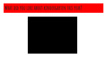## **What did you like about kindergarten this year?**

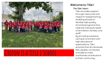

## **Croton Is a Title I School**

#### Welcome to Title I

#### The Title I Vision

Title I provides support through resources and research-based training, enabling schools to develop high quality, enriched programs that meet the individual needs of all children, families, and staff.

By providing a positive, caring environment with high educational expectations, Title I ensures that all individuals feel capable, connected, and able to make worthwhile contributions to their community.